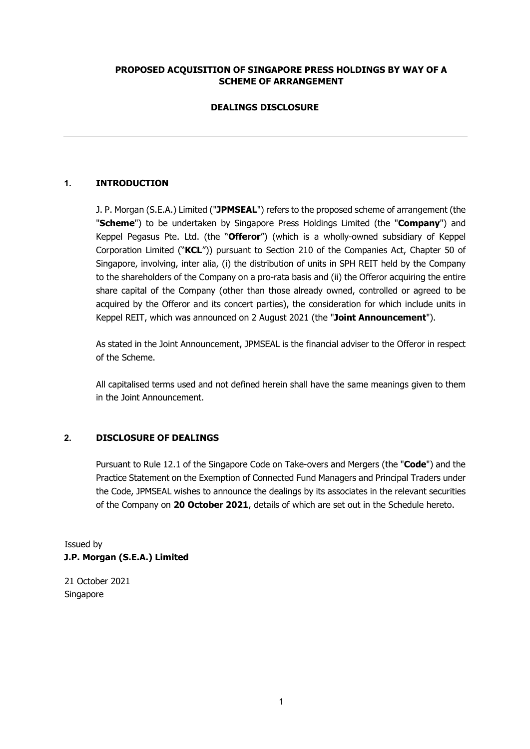## **PROPOSED ACQUISITION OF SINGAPORE PRESS HOLDINGS BY WAY OF A SCHEME OF ARRANGEMENT**

## **DEALINGS DISCLOSURE**

## **1. INTRODUCTION**

J. P. Morgan (S.E.A.) Limited ("**JPMSEAL**") refers to the proposed scheme of arrangement (the "**Scheme**") to be undertaken by Singapore Press Holdings Limited (the "**Company**") and Keppel Pegasus Pte. Ltd. (the "**Offeror**") (which is a wholly-owned subsidiary of Keppel Corporation Limited ("**KCL**")) pursuant to Section 210 of the Companies Act, Chapter 50 of Singapore, involving, inter alia, (i) the distribution of units in SPH REIT held by the Company to the shareholders of the Company on a pro-rata basis and (ii) the Offeror acquiring the entire share capital of the Company (other than those already owned, controlled or agreed to be acquired by the Offeror and its concert parties), the consideration for which include units in Keppel REIT, which was announced on 2 August 2021 (the "**Joint Announcement**").

As stated in the Joint Announcement, JPMSEAL is the financial adviser to the Offeror in respect of the Scheme.

All capitalised terms used and not defined herein shall have the same meanings given to them in the Joint Announcement.

### **2. DISCLOSURE OF DEALINGS**

Pursuant to Rule 12.1 of the Singapore Code on Take-overs and Mergers (the "**Code**") and the Practice Statement on the Exemption of Connected Fund Managers and Principal Traders under the Code, JPMSEAL wishes to announce the dealings by its associates in the relevant securities of the Company on **20 October 2021**, details of which are set out in the Schedule hereto.

Issued by **J.P. Morgan (S.E.A.) Limited** 

21 October 2021 Singapore